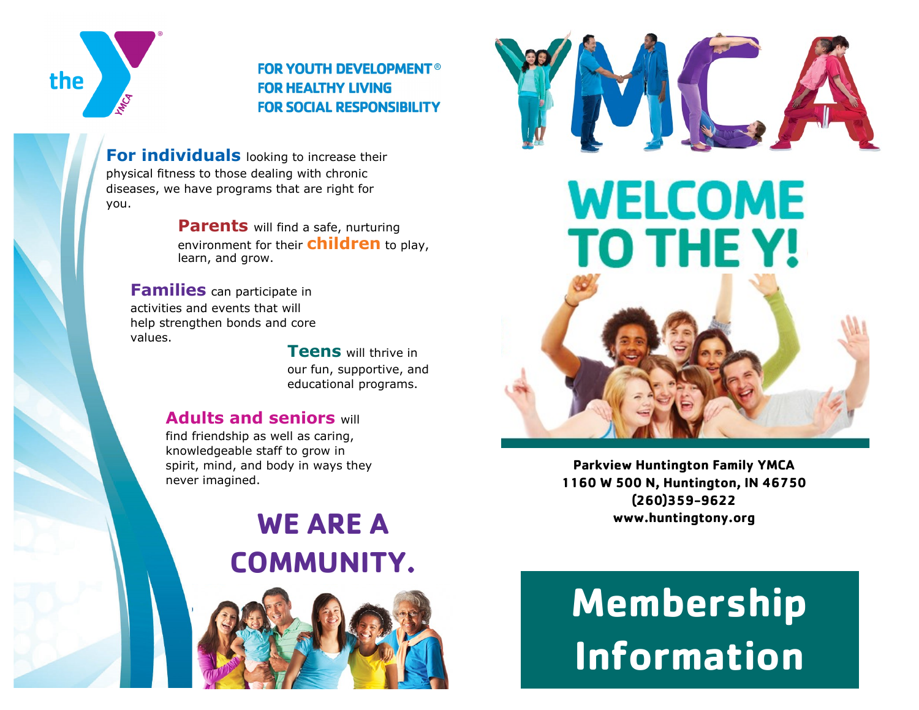

**FOR YOUTH DEVELOPMENT® FOR HEALTHY LIVING FOR SOCIAL RESPONSIBILITY** 

**For individuals** looking to increase their physical fitness to those dealing with chronic diseases, we have programs that are right for you.

> **Parents** will find a safe, nurturing environment for their **children** to play, learn, and grow.

**Families** can participate in activities and events that will help strengthen bonds and core values.

> **Teens** will thrive in our fun, supportive, and educational programs.

### **Adults and seniors** will

find friendship as well as caring, knowledgeable staff to grow in spirit, mind, and body in ways they never imagined.

## **WE ARE A COMMUNITY.**







**Parkview Huntington Family YMCA 1160 W 500 N, Huntington, IN 46750 (260)359-9622 www.huntingtony.org**

# **Membership Information**